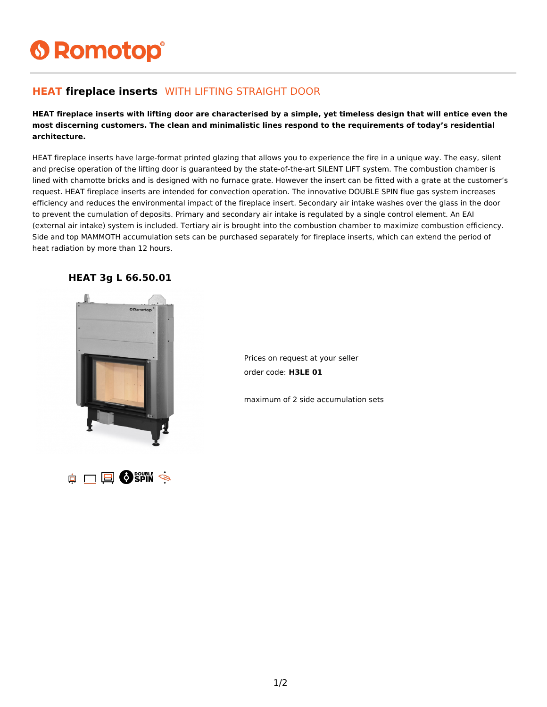# **6 Romotop®**

#### **HEAT fireplace inserts** WITH LIFTING STRAIGHT DOOR

**HEAT fireplace inserts with lifting door are characterised by a simple, yet timeless design that will entice even the most discerning customers. The clean and minimalistic lines respond to the requirements of today's residential architecture.**

HEAT fireplace inserts have large-format printed glazing that allows you to experience the fire in a unique way. The easy, silent and precise operation of the lifting door is guaranteed by the state-of-the-art SILENT LIFT system. The combustion chamber is lined with chamotte bricks and is designed with no furnace grate. However the insert can be fitted with a grate at the customer's request. HEAT fireplace inserts are intended for convection operation. The innovative DOUBLE SPIN flue gas system increases efficiency and reduces the environmental impact of the fireplace insert. Secondary air intake washes over the glass in the door to prevent the cumulation of deposits. Primary and secondary air intake is regulated by a single control element. An EAI (external air intake) system is included. Tertiary air is brought into the combustion chamber to maximize combustion efficiency. Side and top MAMMOTH accumulation sets can be purchased separately for fireplace inserts, which can extend the period of heat radiation by more than 12 hours.



**HEAT 3g L 66.50.01**

Prices on request at your seller order code: **H3LE 01**

maximum of 2 side accumulation sets